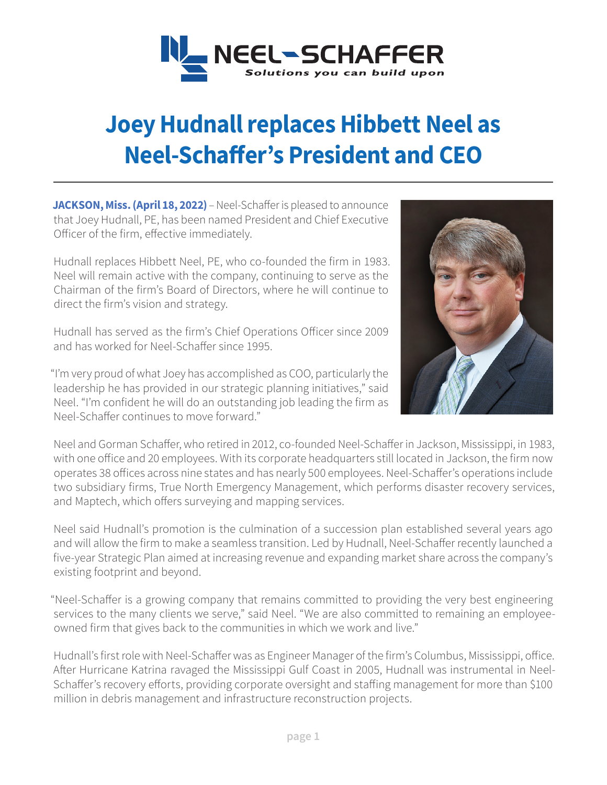

## **Joey Hudnall replaces Hibbett Neel as Neel-Schaffer's President and CEO**

**JACKSON, Miss. (April 18, 2022)** – Neel-Schaffer is pleased to announce that Joey Hudnall, PE, has been named President and Chief Executive Officer of the firm, effective immediately.

Hudnall replaces Hibbett Neel, PE, who co-founded the firm in 1983. Neel will remain active with the company, continuing to serve as the Chairman of the firm's Board of Directors, where he will continue to direct the firm's vision and strategy.

Hudnall has served as the firm's Chief Operations Officer since 2009 and has worked for Neel-Schaffer since 1995.

"I'm very proud of what Joey has accomplished as COO, particularly the leadership he has provided in our strategic planning initiatives," said Neel. "I'm confident he will do an outstanding job leading the firm as Neel-Schaffer continues to move forward."



Neel and Gorman Schaffer, who retired in 2012, co-founded Neel-Schaffer in Jackson, Mississippi, in 1983, with one office and 20 employees. With its corporate headquarters still located in Jackson, the firm now operates 38 offices across nine states and has nearly 500 employees. Neel-Schaffer's operations include two subsidiary firms, True North Emergency Management, which performs disaster recovery services, and Maptech, which offers surveying and mapping services.

Neel said Hudnall's promotion is the culmination of a succession plan established several years ago and will allow the firm to make a seamless transition. Led by Hudnall, Neel-Schaffer recently launched a five-year Strategic Plan aimed at increasing revenue and expanding market share across the company's existing footprint and beyond.

"Neel-Schaffer is a growing company that remains committed to providing the very best engineering services to the many clients we serve," said Neel. "We are also committed to remaining an employeeowned firm that gives back to the communities in which we work and live."

Hudnall's first role with Neel-Schaffer was as Engineer Manager of the firm's Columbus, Mississippi, office. After Hurricane Katrina ravaged the Mississippi Gulf Coast in 2005, Hudnall was instrumental in Neel-Schaffer's recovery efforts, providing corporate oversight and staffing management for more than \$100 million in debris management and infrastructure reconstruction projects.